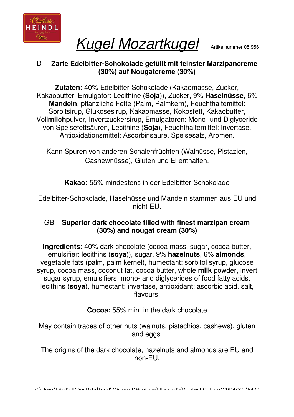

Kugel Mozartkugel Artikelnummer 05 956

## D **Zarte Edelbitter-Schokolade gefüllt mit feinster Marzipancreme (30%) auf Nougatcreme (30%)**

**Zutaten:** 40% Edelbitter-Schokolade (Kakaomasse, Zucker, Kakaobutter, Emulgator: Lecithine (**Soja**)), Zucker, 9% **Haselnüsse**, 6% **Mandeln**, pflanzliche Fette (Palm, Palmkern), Feuchthaltemittel: Sorbitsirup, Glukosesirup, Kakaomasse, Kokosfett, Kakaobutter, Voll**milch**pulver, Invertzuckersirup, Emulgatoren: Mono- und Diglyceride von Speisefettsäuren, Lecithine (**Soja**), Feuchthaltemittel: Invertase, Antioxidationsmittel: Ascorbinsäure, Speisesalz, Aromen.

Kann Spuren von anderen Schalenfrüchten (Walnüsse, Pistazien, Cashewnüsse), Gluten und Ei enthalten.

**Kakao:** 55% mindestens in der Edelbitter-Schokolade

Edelbitter-Schokolade, Haselnüsse und Mandeln stammen aus EU und nicht-EU.

## GB **Superior dark chocolate filled with finest marzipan cream (30%) and nougat cream (30%)**

**Ingredients:** 40% dark chocolate (cocoa mass, sugar, cocoa butter, emulsifier: lecithins (**soya**)), sugar, 9% **hazelnuts**, 6% **almonds**, vegetable fats (palm, palm kernel), humectant: sorbitol syrup, glucose syrup, cocoa mass, coconut fat, cocoa butter, whole **milk** powder, invert sugar syrup, emulsifiers: mono- and diglycerides of food fatty acids, lecithins (**soya**), humectant: invertase, antioxidant: ascorbic acid, salt, flavours.

**Cocoa:** 55% min. in the dark chocolate

May contain traces of other nuts (walnuts, pistachios, cashews), gluten and eggs.

The origins of the dark chocolate, hazelnuts and almonds are EU and non-EU.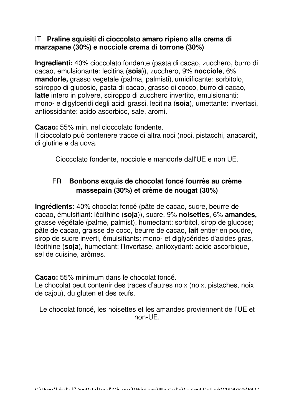## IT **Praline squisiti di cioccolato amaro ripieno alla crema di marzapane (30%) e nocciole crema di torrone (30%)**

**Ingredienti:** 40% cioccolato fondente (pasta di cacao, zucchero, burro di cacao, emulsionante: lecitina (**soia**)), zucchero, 9% **nocciole**, 6% mandorle, grasso vegetale (palma, palmisti), umidificante: sorbitolo, sciroppo di glucosio, pasta di cacao, grasso di cocco, burro di cacao, **latte** intero in polvere, sciroppo di zucchero invertito, emulsionanti: mono- e digylceridi degli acidi grassi, lecitina (**soia**), umettante: invertasi, antiossidante: acido ascorbico, sale, aromi.

**Cacao:** 55% min. nel cioccolato fondente.

Il cioccolato può contenere tracce di altra noci (noci, pistacchi, anacardi), di glutine e da uova.

Cioccolato fondente, nocciole e mandorle dall'UE e non UE.

## FR **Bonbons exquis de chocolat foncé fourrès au crème massepain (30%) et crème de nougat (30%)**

**Ingrédients:** 40% chocolat foncé (pâte de cacao, sucre, beurre de cacao**,** émulsifiant: lécithine (**soja**)), sucre, 9% **noisettes**, 6% **amandes,** grasse végétale (palme, palmist), humectant: sorbitol, sirop de glucose; pâte de cacao, graisse de coco, beurre de cacao, **lait** entier en poudre, sirop de sucre inverti, émulsifiants: mono- et diglycérides d'acides gras, lécithine (**soja**)**,** humectant: l'Invertase, antioxydant: acide ascorbique, sel de cuisine, arômes.

**Cacao:** 55% minimum dans le chocolat foncé.

Le chocolat peut contenir des traces d'autres noix (noix, pistaches, noix de cajou), du gluten et des œufs.

Le chocolat foncé, les noisettes et les amandes proviennent de l'UE et non-UE.